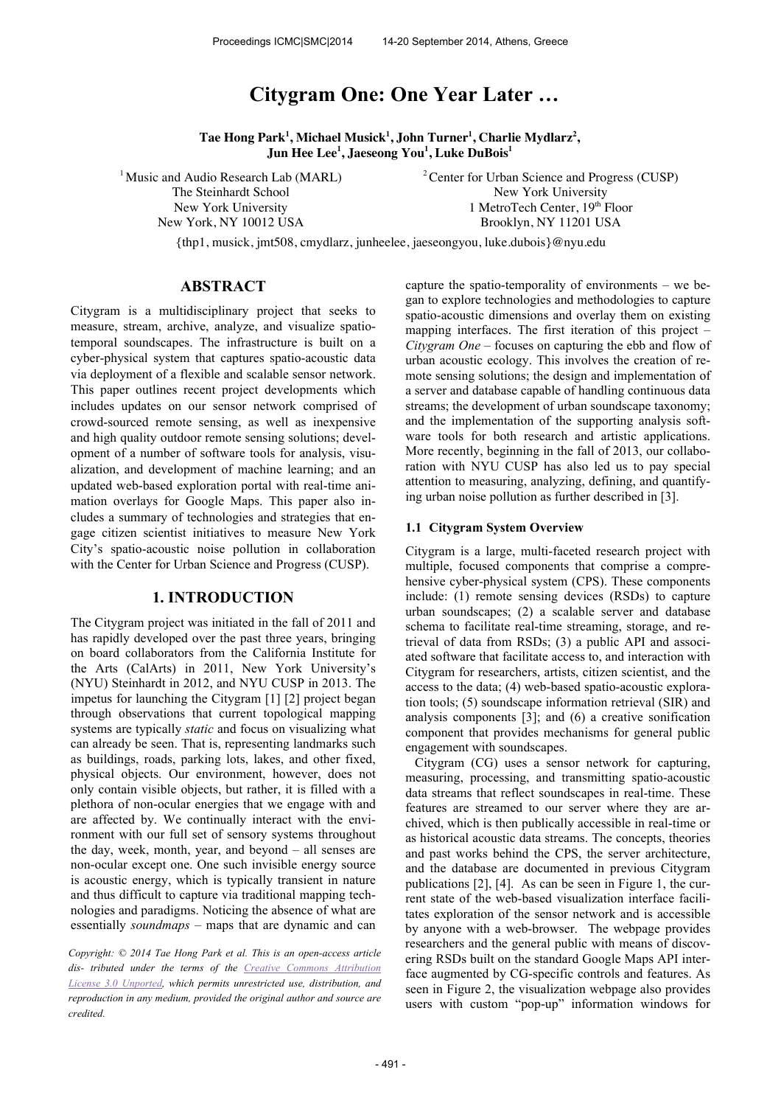# **Citygram One: One Year Later …**

**Tae Hong Park<sup>1</sup> , Michael Musick<sup>1</sup> , John Turner<sup>1</sup> , Charlie Mydlarz<sup>2</sup> , Jun Hee Lee<sup>1</sup> , Jaeseong You<sup>1</sup> , Luke DuBois<sup>1</sup>**

<sup>1</sup> Music and Audio Research Lab (MARL) The Steinhardt School New York University New York, NY 10012 USA

<sup>2</sup>Center for Urban Science and Progress (CUSP) New York University 1 MetroTech Center, 19th Floor Brooklyn, NY 11201 USA

{thp1, musick, jmt508, cmydlarz, junheelee, jaeseongyou, luke.dubois}@nyu.edu

# **ABSTRACT**

Citygram is a multidisciplinary project that seeks to measure, stream, archive, analyze, and visualize spatiotemporal soundscapes. The infrastructure is built on a cyber-physical system that captures spatio-acoustic data via deployment of a flexible and scalable sensor network. This paper outlines recent project developments which includes updates on our sensor network comprised of crowd-sourced remote sensing, as well as inexpensive and high quality outdoor remote sensing solutions; development of a number of software tools for analysis, visualization, and development of machine learning; and an updated web-based exploration portal with real-time animation overlays for Google Maps. This paper also includes a summary of technologies and strategies that engage citizen scientist initiatives to measure New York City's spatio-acoustic noise pollution in collaboration with the Center for Urban Science and Progress (CUSP).

## **1. INTRODUCTION**

The Citygram project was initiated in the fall of 2011 and has rapidly developed over the past three years, bringing on board collaborators from the California Institute for the Arts (CalArts) in 2011, New York University's (NYU) Steinhardt in 2012, and NYU CUSP in 2013. The impetus for launching the Citygram [1] [2] project began through observations that current topological mapping systems are typically *static* and focus on visualizing what can already be seen. That is, representing landmarks such as buildings, roads, parking lots, lakes, and other fixed, physical objects. Our environment, however, does not only contain visible objects, but rather, it is filled with a plethora of non-ocular energies that we engage with and are affected by. We continually interact with the environment with our full set of sensory systems throughout the day, week, month, year, and beyond – all senses are non-ocular except one. One such invisible energy source is acoustic energy, which is typically transient in nature and thus difficult to capture via traditional mapping technologies and paradigms. Noticing the absence of what are essentially *soundmaps* – maps that are dynamic and can

*Copyright: © 2014 Tae Hong Park et al. This is an open-access article dis- tributed under the terms of the Creative Commons Attribution License 3.0 Unported, which permits unrestricted use, distribution, and reproduction in any medium, provided the original author and source are credited.*

capture the spatio-temporality of environments – we began to explore technologies and methodologies to capture spatio-acoustic dimensions and overlay them on existing mapping interfaces. The first iteration of this project – *Citygram One* – focuses on capturing the ebb and flow of urban acoustic ecology. This involves the creation of remote sensing solutions; the design and implementation of a server and database capable of handling continuous data streams; the development of urban soundscape taxonomy; and the implementation of the supporting analysis software tools for both research and artistic applications. More recently, beginning in the fall of 2013, our collaboration with NYU CUSP has also led us to pay special attention to measuring, analyzing, defining, and quantifying urban noise pollution as further described in [3].

#### **1.1 Citygram System Overview**

Citygram is a large, multi-faceted research project with multiple, focused components that comprise a comprehensive cyber-physical system (CPS). These components include: (1) remote sensing devices (RSDs) to capture urban soundscapes; (2) a scalable server and database schema to facilitate real-time streaming, storage, and retrieval of data from RSDs; (3) a public API and associated software that facilitate access to, and interaction with Citygram for researchers, artists, citizen scientist, and the access to the data; (4) web-based spatio-acoustic exploration tools; (5) soundscape information retrieval (SIR) and analysis components [3]; and (6) a creative sonification component that provides mechanisms for general public engagement with soundscapes.

Citygram (CG) uses a sensor network for capturing, measuring, processing, and transmitting spatio-acoustic data streams that reflect soundscapes in real-time. These features are streamed to our server where they are archived, which is then publically accessible in real-time or as historical acoustic data streams. The concepts, theories and past works behind the CPS, the server architecture, and the database are documented in previous Citygram publications [2], [4]. As can be seen in Figure 1, the current state of the web-based visualization interface facilitates exploration of the sensor network and is accessible by anyone with a web-browser. The webpage provides researchers and the general public with means of discovering RSDs built on the standard Google Maps API interface augmented by CG-specific controls and features. As seen in Figure 2, the visualization webpage also provides users with custom "pop-up" information windows for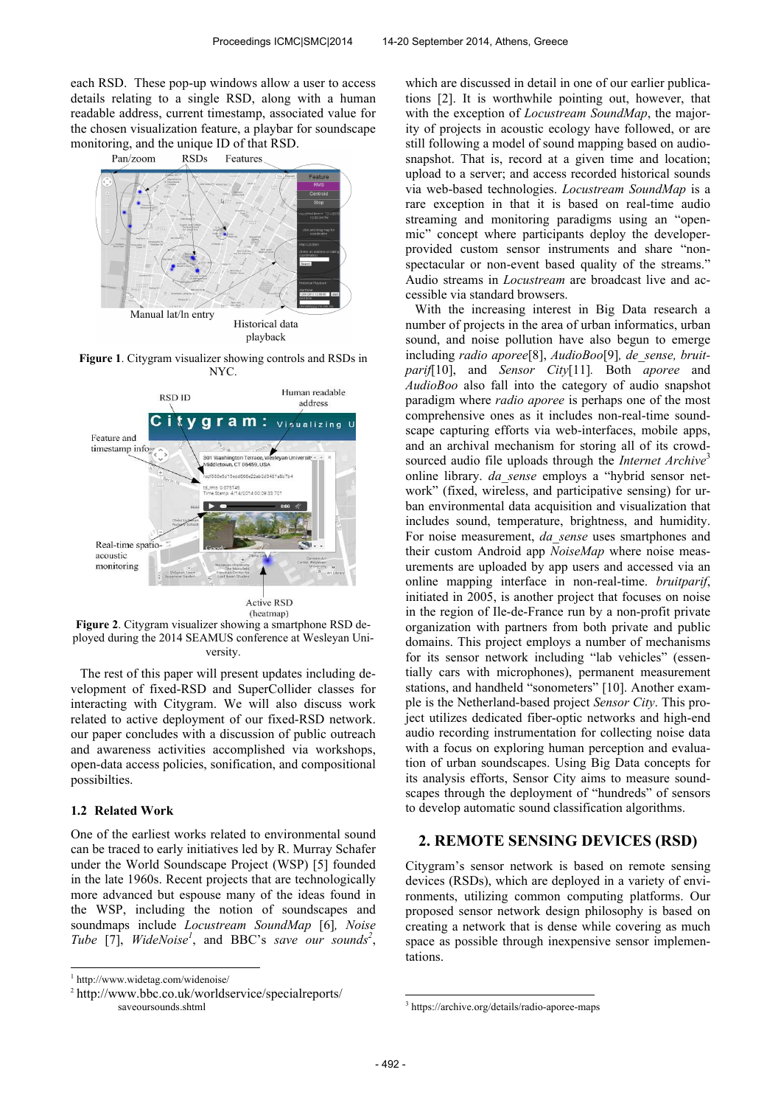each RSD. These pop-up windows allow a user to access details relating to a single RSD, along with a human readable address, current timestamp, associated value for the chosen visualization feature, a playbar for soundscape monitoring, and the unique ID of that RSD.



**Figure 1**. Citygram visualizer showing controls and RSDs in NYC.



**Figure 2**. Citygram visualizer showing a smartphone RSD deployed during the 2014 SEAMUS conference at Wesleyan University.

The rest of this paper will present updates including development of fixed-RSD and SuperCollider classes for interacting with Citygram. We will also discuss work related to active deployment of our fixed-RSD network. our paper concludes with a discussion of public outreach and awareness activities accomplished via workshops, open-data access policies, sonification, and compositional possibilties.

#### **1.2 Related Work**

One of the earliest works related to environmental sound can be traced to early initiatives led by R. Murray Schafer under the World Soundscape Project (WSP) [5] founded in the late 1960s. Recent projects that are technologically more advanced but espouse many of the ideas found in the WSP, including the notion of soundscapes and soundmaps include *Locustream SoundMap* [6]*, Noise Tube* [7], *WideNoise<sup>1</sup>* , and BBC's *save our sounds<sup>2</sup>* , which are discussed in detail in one of our earlier publications [2]. It is worthwhile pointing out, however, that with the exception of *Locustream SoundMap*, the majority of projects in acoustic ecology have followed, or are still following a model of sound mapping based on audiosnapshot. That is, record at a given time and location; upload to a server; and access recorded historical sounds via web-based technologies. *Locustream SoundMap* is a rare exception in that it is based on real-time audio streaming and monitoring paradigms using an "openmic" concept where participants deploy the developerprovided custom sensor instruments and share "nonspectacular or non-event based quality of the streams." Audio streams in *Locustream* are broadcast live and accessible via standard browsers.

With the increasing interest in Big Data research a number of projects in the area of urban informatics, urban sound, and noise pollution have also begun to emerge including *radio aporee*[8], *AudioBoo*[9]*, de\_sense, bruitparif*[10], and *Sensor City*[11]*.* Both *aporee* and *AudioBoo* also fall into the category of audio snapshot paradigm where *radio aporee* is perhaps one of the most comprehensive ones as it includes non-real-time soundscape capturing efforts via web-interfaces, mobile apps, and an archival mechanism for storing all of its crowdsourced audio file uploads through the *Internet Archive*<sup>3</sup> online library. *da\_sense* employs a "hybrid sensor network" (fixed, wireless, and participative sensing) for urban environmental data acquisition and visualization that includes sound, temperature, brightness, and humidity. For noise measurement, *da\_sense* uses smartphones and their custom Android app *NoiseMap* where noise measurements are uploaded by app users and accessed via an online mapping interface in non-real-time. *bruitparif*, initiated in 2005, is another project that focuses on noise in the region of Ile-de-France run by a non-profit private organization with partners from both private and public domains. This project employs a number of mechanisms for its sensor network including "lab vehicles" (essentially cars with microphones), permanent measurement stations, and handheld "sonometers" [10]. Another example is the Netherland-based project *Sensor City*. This project utilizes dedicated fiber-optic networks and high-end audio recording instrumentation for collecting noise data with a focus on exploring human perception and evaluation of urban soundscapes. Using Big Data concepts for its analysis efforts, Sensor City aims to measure soundscapes through the deployment of "hundreds" of sensors to develop automatic sound classification algorithms.

# **2. REMOTE SENSING DEVICES (RSD)**

Citygram's sensor network is based on remote sensing devices (RSDs), which are deployed in a variety of environments, utilizing common computing platforms. Our proposed sensor network design philosophy is based on creating a network that is dense while covering as much space as possible through inexpensive sensor implementations.

 $\overline{a}$ 

<sup>&</sup>lt;sup>1</sup> http://www.widetag.com/widenoise/

<sup>2</sup> http://www.bbc.co.uk/worldservice/specialreports/ saveoursounds.shtml

<sup>3</sup> https://archive.org/details/radio-aporee-maps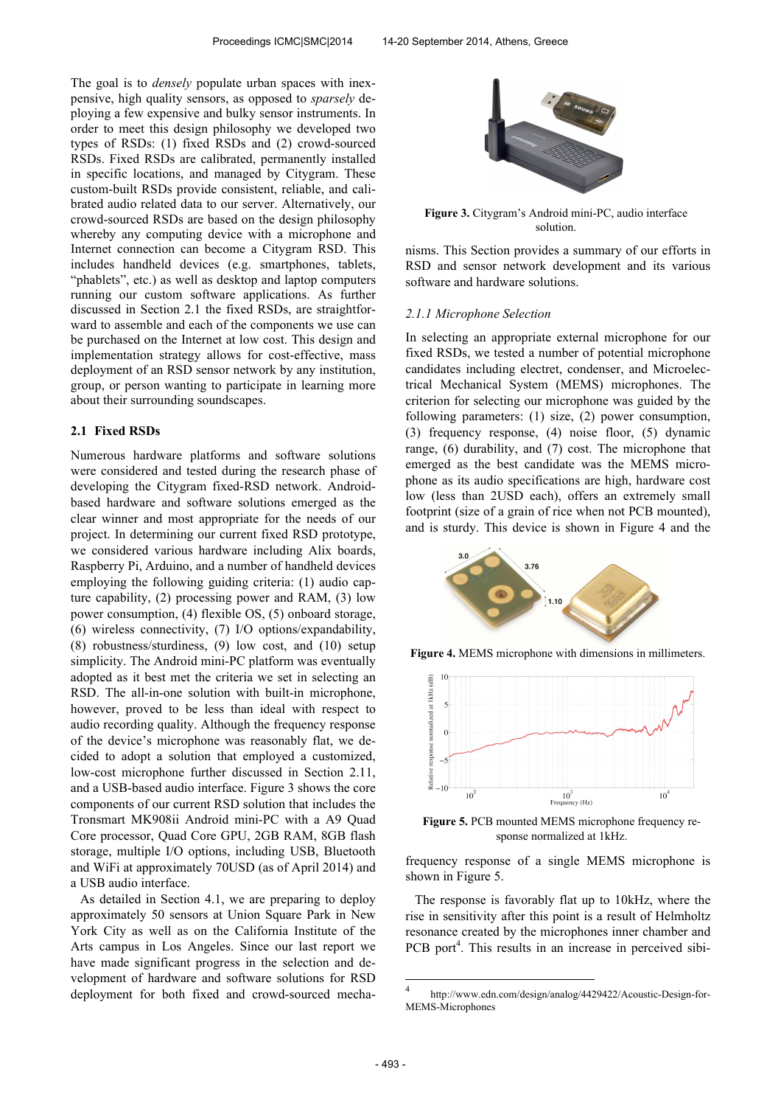The goal is to *densely* populate urban spaces with inexpensive, high quality sensors, as opposed to *sparsely* deploying a few expensive and bulky sensor instruments. In order to meet this design philosophy we developed two types of RSDs: (1) fixed RSDs and (2) crowd-sourced RSDs. Fixed RSDs are calibrated, permanently installed in specific locations, and managed by Citygram. These custom-built RSDs provide consistent, reliable, and calibrated audio related data to our server. Alternatively, our crowd-sourced RSDs are based on the design philosophy whereby any computing device with a microphone and Internet connection can become a Citygram RSD. This includes handheld devices (e.g. smartphones, tablets, "phablets", etc.) as well as desktop and laptop computers running our custom software applications. As further discussed in Section 2.1 the fixed RSDs, are straightforward to assemble and each of the components we use can be purchased on the Internet at low cost. This design and implementation strategy allows for cost-effective, mass deployment of an RSD sensor network by any institution, group, or person wanting to participate in learning more about their surrounding soundscapes.

#### **2.1 Fixed RSDs**

Numerous hardware platforms and software solutions were considered and tested during the research phase of developing the Citygram fixed-RSD network. Androidbased hardware and software solutions emerged as the clear winner and most appropriate for the needs of our project. In determining our current fixed RSD prototype, we considered various hardware including Alix boards, Raspberry Pi, Arduino, and a number of handheld devices employing the following guiding criteria: (1) audio capture capability, (2) processing power and RAM, (3) low power consumption, (4) flexible OS, (5) onboard storage, (6) wireless connectivity, (7) I/O options/expandability, (8) robustness/sturdiness, (9) low cost, and (10) setup simplicity. The Android mini-PC platform was eventually adopted as it best met the criteria we set in selecting an RSD. The all-in-one solution with built-in microphone, however, proved to be less than ideal with respect to audio recording quality. Although the frequency response of the device's microphone was reasonably flat, we decided to adopt a solution that employed a customized, low-cost microphone further discussed in Section 2.11, and a USB-based audio interface. Figure 3 shows the core components of our current RSD solution that includes the Tronsmart MK908ii Android mini-PC with a A9 Quad Core processor, Quad Core GPU, 2GB RAM, 8GB flash storage, multiple I/O options, including USB, Bluetooth and WiFi at approximately 70USD (as of April 2014) and a USB audio interface.

As detailed in Section 4.1, we are preparing to deploy approximately 50 sensors at Union Square Park in New York City as well as on the California Institute of the Arts campus in Los Angeles. Since our last report we have made significant progress in the selection and development of hardware and software solutions for RSD deployment for both fixed and crowd-sourced mecha-



**Figure 3.** Citygram's Android mini-PC, audio interface solution.

nisms. This Section provides a summary of our efforts in RSD and sensor network development and its various software and hardware solutions.

#### *2.1.1 Microphone Selection*

In selecting an appropriate external microphone for our fixed RSDs, we tested a number of potential microphone candidates including electret, condenser, and Microelectrical Mechanical System (MEMS) microphones. The criterion for selecting our microphone was guided by the following parameters: (1) size, (2) power consumption, (3) frequency response, (4) noise floor, (5) dynamic range, (6) durability, and (7) cost. The microphone that emerged as the best candidate was the MEMS microphone as its audio specifications are high, hardware cost low (less than 2USD each), offers an extremely small footprint (size of a grain of rice when not PCB mounted), and is sturdy. This device is shown in Figure 4 and the



**Figure 4.** MEMS microphone with dimensions in millimeters.



**Figure 5.** PCB mounted MEMS microphone frequency response normalized at 1kHz.

frequency response of a single MEMS microphone is shown in Figure 5.

The response is favorably flat up to 10kHz, where the rise in sensitivity after this point is a result of Helmholtz resonance created by the microphones inner chamber and PCB port<sup>4</sup>. This results in an increase in perceived sibi-

 $\frac{1}{4}$ http://www.edn.com/design/analog/4429422/Acoustic-Design-for-MEMS-Microphones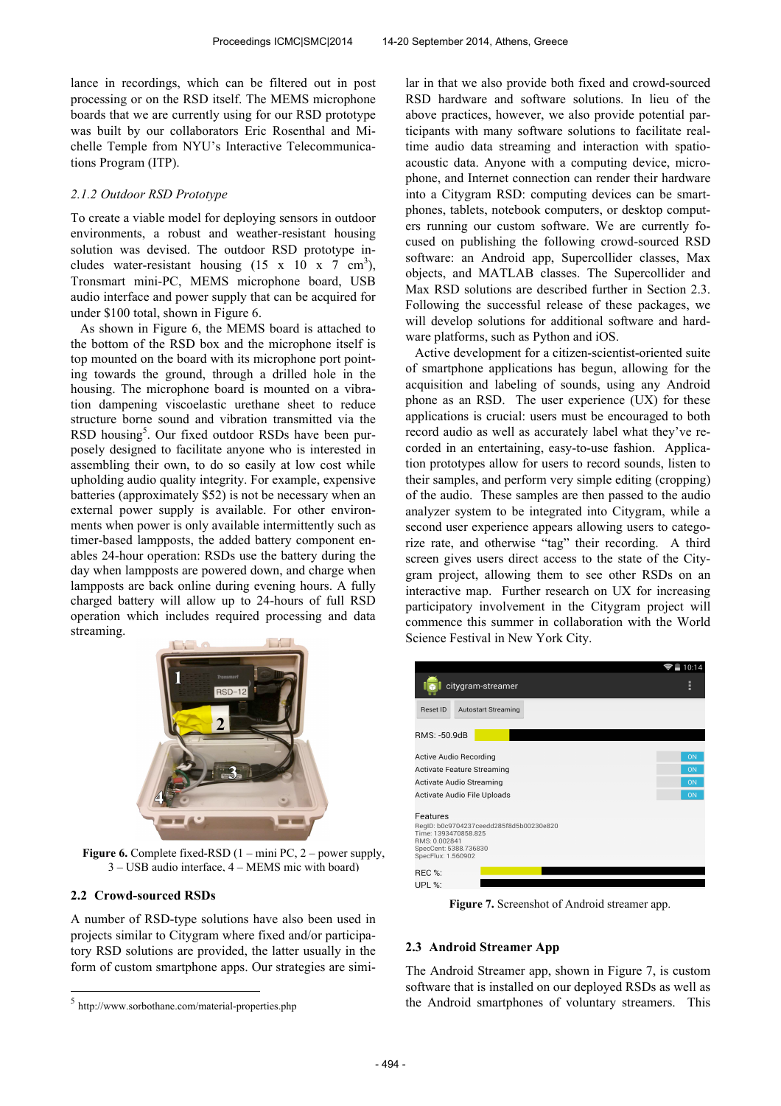lance in recordings, which can be filtered out in post processing or on the RSD itself. The MEMS microphone boards that we are currently using for our RSD prototype was built by our collaborators Eric Rosenthal and Michelle Temple from NYU's Interactive Telecommunications Program (ITP).

#### *2.1.2 Outdoor RSD Prototype*

To create a viable model for deploying sensors in outdoor environments, a robust and weather-resistant housing solution was devised. The outdoor RSD prototype includes water-resistant housing  $(15 \times 10 \times 7 \text{ cm}^3)$ , Tronsmart mini-PC, MEMS microphone board, USB audio interface and power supply that can be acquired for under \$100 total, shown in Figure 6.

As shown in Figure 6, the MEMS board is attached to the bottom of the RSD box and the microphone itself is top mounted on the board with its microphone port pointing towards the ground, through a drilled hole in the housing. The microphone board is mounted on a vibration dampening viscoelastic urethane sheet to reduce structure borne sound and vibration transmitted via the RSD housing<sup>5</sup>. Our fixed outdoor RSDs have been purposely designed to facilitate anyone who is interested in assembling their own, to do so easily at low cost while upholding audio quality integrity. For example, expensive batteries (approximately \$52) is not be necessary when an external power supply is available. For other environments when power is only available intermittently such as timer-based lampposts, the added battery component enables 24-hour operation: RSDs use the battery during the day when lampposts are powered down, and charge when lampposts are back online during evening hours. A fully charged battery will allow up to 24-hours of full RSD operation which includes required processing and data streaming.



**Figure 6.** Complete fixed-RSD  $(1 - \text{mini PC}, 2 - \text{power supply},$ 3 – USB audio interface, 4 – MEMS mic with board)

#### **2.2 Crowd-sourced RSDs**

-

A number of RSD-type solutions have also been used in projects similar to Citygram where fixed and/or participatory RSD solutions are provided, the latter usually in the form of custom smartphone apps. Our strategies are similar in that we also provide both fixed and crowd-sourced RSD hardware and software solutions. In lieu of the above practices, however, we also provide potential participants with many software solutions to facilitate realtime audio data streaming and interaction with spatioacoustic data. Anyone with a computing device, microphone, and Internet connection can render their hardware into a Citygram RSD: computing devices can be smartphones, tablets, notebook computers, or desktop computers running our custom software. We are currently focused on publishing the following crowd-sourced RSD software: an Android app, Supercollider classes, Max objects, and MATLAB classes. The Supercollider and Max RSD solutions are described further in Section 2.3. Following the successful release of these packages, we will develop solutions for additional software and hardware platforms, such as Python and iOS.

Active development for a citizen-scientist-oriented suite of smartphone applications has begun, allowing for the acquisition and labeling of sounds, using any Android phone as an RSD. The user experience (UX) for these applications is crucial: users must be encouraged to both record audio as well as accurately label what they've recorded in an entertaining, easy-to-use fashion. Application prototypes allow for users to record sounds, listen to their samples, and perform very simple editing (cropping) of the audio. These samples are then passed to the audio analyzer system to be integrated into Citygram, while a second user experience appears allowing users to categorize rate, and otherwise "tag" their recording. A third screen gives users direct access to the state of the Citygram project, allowing them to see other RSDs on an interactive map. Further research on UX for increasing participatory involvement in the Citygram project will commence this summer in collaboration with the World Science Festival in New York City.

|                                                                                                                                             | 10:14 |
|---------------------------------------------------------------------------------------------------------------------------------------------|-------|
| citygram-streamer                                                                                                                           | H     |
| <b>Reset ID</b><br><b>Autostart Streaming</b>                                                                                               |       |
| RMS: -50.9dB                                                                                                                                |       |
| Active Audio Recording                                                                                                                      | ON    |
| Activate Feature Streaming                                                                                                                  | ON    |
| Activate Audio Streaming                                                                                                                    | ON    |
| Activate Audio File Uploads                                                                                                                 | ON    |
| Features<br>RegID: b0c9704237ceedd285f8d5b00230e820<br>Time: 1393470858.825<br>RMS: 0.002841<br>SpecCent: 5388.736830<br>SpecFlux: 1.560902 |       |
| REC %:                                                                                                                                      |       |
| <b>UPL %:</b>                                                                                                                               |       |

**Figure 7.** Screenshot of Android streamer app.

#### **2.3 Android Streamer App**

The Android Streamer app, shown in Figure 7, is custom software that is installed on our deployed RSDs as well as the Android smartphones of voluntary streamers. This

<sup>5</sup> http://www.sorbothane.com/material-properties.php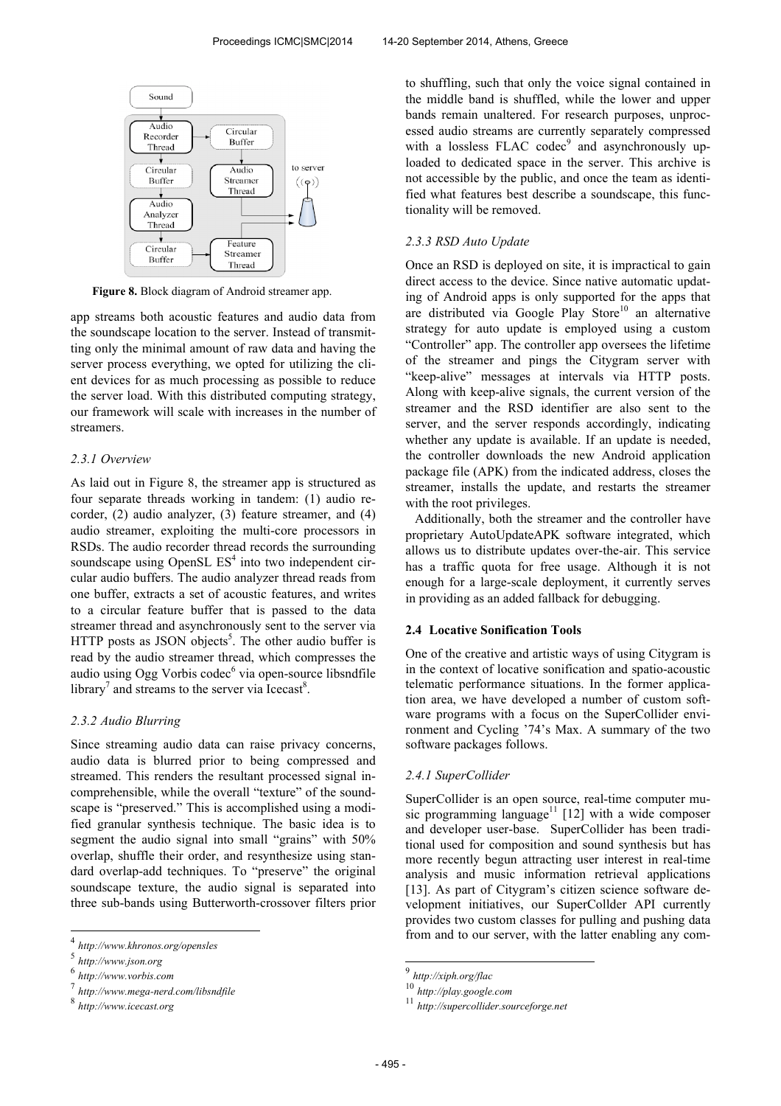

**Figure 8.** Block diagram of Android streamer app.

app streams both acoustic features and audio data from the soundscape location to the server. Instead of transmitting only the minimal amount of raw data and having the server process everything, we opted for utilizing the client devices for as much processing as possible to reduce the server load. With this distributed computing strategy, our framework will scale with increases in the number of streamers.

#### *2.3.1 Overview*

As laid out in Figure 8, the streamer app is structured as four separate threads working in tandem: (1) audio recorder, (2) audio analyzer, (3) feature streamer, and (4) audio streamer, exploiting the multi-core processors in RSDs. The audio recorder thread records the surrounding soundscape using OpenSL  $ES<sup>4</sup>$  into two independent circular audio buffers. The audio analyzer thread reads from one buffer, extracts a set of acoustic features, and writes to a circular feature buffer that is passed to the data streamer thread and asynchronously sent to the server via HTTP posts as JSON objects<sup>5</sup>. The other audio buffer is read by the audio streamer thread, which compresses the audio using Ogg Vorbis codec<sup>6</sup> via open-source libsndfile library<sup>7</sup> and streams to the server via Icecast<sup>8</sup>.

#### *2.3.2 Audio Blurring*

Since streaming audio data can raise privacy concerns, audio data is blurred prior to being compressed and streamed. This renders the resultant processed signal incomprehensible, while the overall "texture" of the soundscape is "preserved." This is accomplished using a modified granular synthesis technique. The basic idea is to segment the audio signal into small "grains" with 50% overlap, shuffle their order, and resynthesize using standard overlap-add techniques. To "preserve" the original soundscape texture, the audio signal is separated into three sub-bands using Butterworth-crossover filters prior to shuffling, such that only the voice signal contained in the middle band is shuffled, while the lower and upper bands remain unaltered. For research purposes, unprocessed audio streams are currently separately compressed with a lossless FLAC codec<sup>9</sup> and asynchronously uploaded to dedicated space in the server. This archive is not accessible by the public, and once the team as identified what features best describe a soundscape, this functionality will be removed.

#### *2.3.3 RSD Auto Update*

Once an RSD is deployed on site, it is impractical to gain direct access to the device. Since native automatic updating of Android apps is only supported for the apps that are distributed via Google Play Store<sup>10</sup> an alternative strategy for auto update is employed using a custom "Controller" app. The controller app oversees the lifetime of the streamer and pings the Citygram server with "keep-alive" messages at intervals via HTTP posts. Along with keep-alive signals, the current version of the streamer and the RSD identifier are also sent to the server, and the server responds accordingly, indicating whether any update is available. If an update is needed, the controller downloads the new Android application package file (APK) from the indicated address, closes the streamer, installs the update, and restarts the streamer with the root privileges.

Additionally, both the streamer and the controller have proprietary AutoUpdateAPK software integrated, which allows us to distribute updates over-the-air. This service has a traffic quota for free usage. Although it is not enough for a large-scale deployment, it currently serves in providing as an added fallback for debugging.

#### **2.4 Locative Sonification Tools**

One of the creative and artistic ways of using Citygram is in the context of locative sonification and spatio-acoustic telematic performance situations. In the former application area, we have developed a number of custom software programs with a focus on the SuperCollider environment and Cycling '74's Max. A summary of the two software packages follows.

#### *2.4.1 SuperCollider*

SuperCollider is an open source, real-time computer music programming language<sup>11</sup> [12] with a wide composer and developer user-base. SuperCollider has been traditional used for composition and sound synthesis but has more recently begun attracting user interest in real-time analysis and music information retrieval applications [13]. As part of Citygram's citizen science software development initiatives, our SuperCollder API currently provides two custom classes for pulling and pushing data from and to our server, with the latter enabling any com-

 4 *http://www.khronos.org/opensles*

<sup>5</sup> *http://www.json.org*

<sup>6</sup> *http://www.vorbis.com* 7

*http://www.mega-nerd.com/libsndfile*

<sup>8</sup> *http://www.icecast.org*

 9 *http://xiph.org/flac*

<sup>10</sup> *http://play.google.com*

<sup>11</sup> *http://supercollider.sourceforge.net*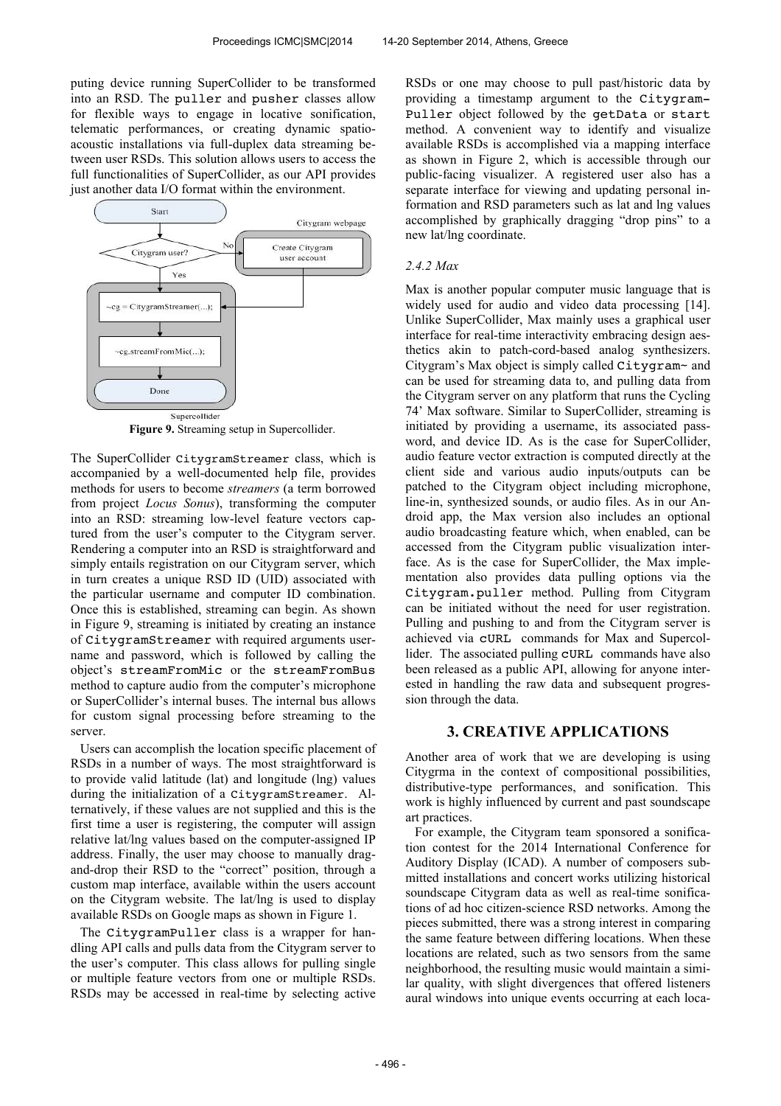puting device running SuperCollider to be transformed into an RSD. The puller and pusher classes allow for flexible ways to engage in locative sonification, telematic performances, or creating dynamic spatioacoustic installations via full-duplex data streaming between user RSDs. This solution allows users to access the full functionalities of SuperCollider, as our API provides just another data I/O format within the environment.



**Figure 9.** Streaming setup in Supercollider.

The SuperCollider CitygramStreamer class, which is accompanied by a well-documented help file, provides methods for users to become *streamers* (a term borrowed from project *Locus Sonus*), transforming the computer into an RSD: streaming low-level feature vectors captured from the user's computer to the Citygram server. Rendering a computer into an RSD is straightforward and simply entails registration on our Citygram server, which in turn creates a unique RSD ID (UID) associated with the particular username and computer ID combination. Once this is established, streaming can begin. As shown in Figure 9, streaming is initiated by creating an instance of CitygramStreamer with required arguments username and password, which is followed by calling the object's streamFromMic or the streamFromBus method to capture audio from the computer's microphone or SuperCollider's internal buses. The internal bus allows for custom signal processing before streaming to the server.

Users can accomplish the location specific placement of RSDs in a number of ways. The most straightforward is to provide valid latitude (lat) and longitude (lng) values during the initialization of a CitygramStreamer. Alternatively, if these values are not supplied and this is the first time a user is registering, the computer will assign relative lat/lng values based on the computer-assigned IP address. Finally, the user may choose to manually dragand-drop their RSD to the "correct" position, through a custom map interface, available within the users account on the Citygram website. The lat/lng is used to display available RSDs on Google maps as shown in Figure 1.

The CitygramPuller class is a wrapper for handling API calls and pulls data from the Citygram server to the user's computer. This class allows for pulling single or multiple feature vectors from one or multiple RSDs. RSDs may be accessed in real-time by selecting active RSDs or one may choose to pull past/historic data by providing a timestamp argument to the Citygram-Puller object followed by the getData or start method. A convenient way to identify and visualize available RSDs is accomplished via a mapping interface as shown in Figure 2, which is accessible through our public-facing visualizer. A registered user also has a separate interface for viewing and updating personal information and RSD parameters such as lat and lng values accomplished by graphically dragging "drop pins" to a new lat/lng coordinate.

#### *2.4.2 Max*

Max is another popular computer music language that is widely used for audio and video data processing [14]. Unlike SuperCollider, Max mainly uses a graphical user interface for real-time interactivity embracing design aesthetics akin to patch-cord-based analog synthesizers. Citygram's Max object is simply called Citygram~ and can be used for streaming data to, and pulling data from the Citygram server on any platform that runs the Cycling 74' Max software. Similar to SuperCollider, streaming is initiated by providing a username, its associated password, and device ID. As is the case for SuperCollider, audio feature vector extraction is computed directly at the client side and various audio inputs/outputs can be patched to the Citygram object including microphone, line-in, synthesized sounds, or audio files. As in our Android app, the Max version also includes an optional audio broadcasting feature which, when enabled, can be accessed from the Citygram public visualization interface. As is the case for SuperCollider, the Max implementation also provides data pulling options via the Citygram.puller method. Pulling from Citygram can be initiated without the need for user registration. Pulling and pushing to and from the Citygram server is achieved via cURL commands for Max and Supercollider. The associated pulling cURL commands have also been released as a public API, allowing for anyone interested in handling the raw data and subsequent progression through the data.

# **3. CREATIVE APPLICATIONS**

Another area of work that we are developing is using Citygrma in the context of compositional possibilities, distributive-type performances, and sonification. This work is highly influenced by current and past soundscape art practices.

For example, the Citygram team sponsored a sonification contest for the 2014 International Conference for Auditory Display (ICAD). A number of composers submitted installations and concert works utilizing historical soundscape Citygram data as well as real-time sonifications of ad hoc citizen-science RSD networks. Among the pieces submitted, there was a strong interest in comparing the same feature between differing locations. When these locations are related, such as two sensors from the same neighborhood, the resulting music would maintain a similar quality, with slight divergences that offered listeners aural windows into unique events occurring at each loca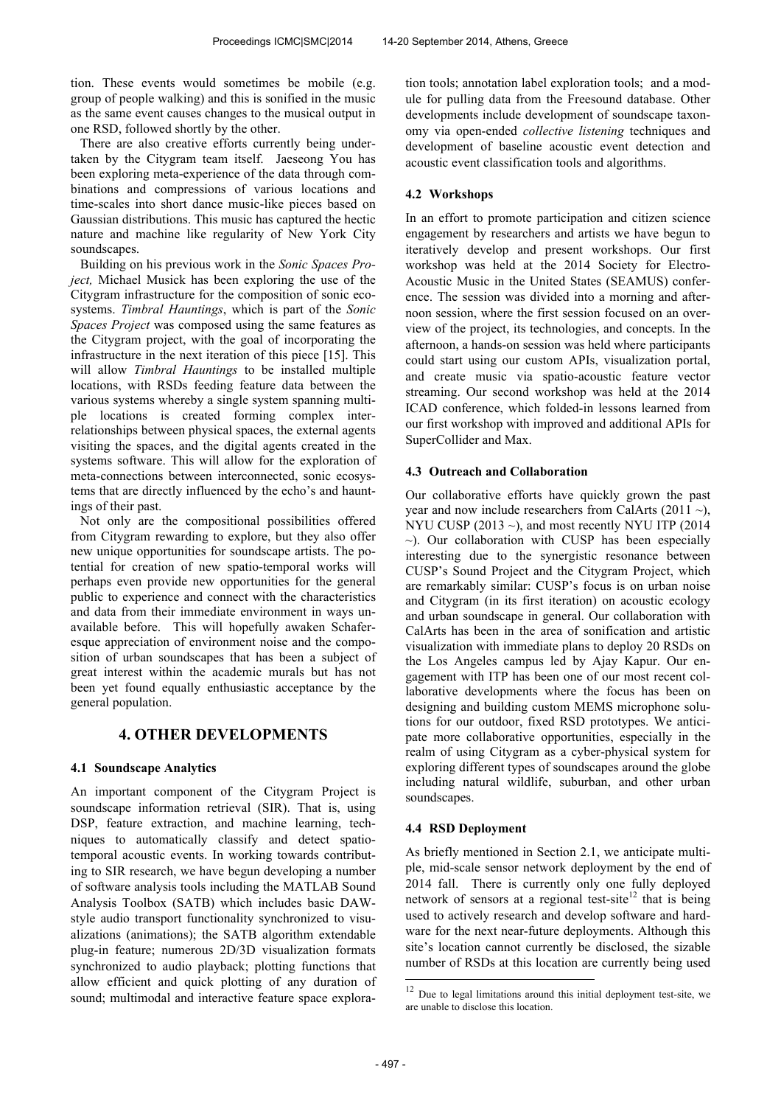tion. These events would sometimes be mobile (e.g. group of people walking) and this is sonified in the music as the same event causes changes to the musical output in one RSD, followed shortly by the other.

There are also creative efforts currently being undertaken by the Citygram team itself. Jaeseong You has been exploring meta-experience of the data through combinations and compressions of various locations and time-scales into short dance music-like pieces based on Gaussian distributions. This music has captured the hectic nature and machine like regularity of New York City soundscapes.

Building on his previous work in the *Sonic Spaces Project,* Michael Musick has been exploring the use of the Citygram infrastructure for the composition of sonic ecosystems. *Timbral Hauntings*, which is part of the *Sonic Spaces Project* was composed using the same features as the Citygram project, with the goal of incorporating the infrastructure in the next iteration of this piece [15]. This will allow *Timbral Hauntings* to be installed multiple locations, with RSDs feeding feature data between the various systems whereby a single system spanning multiple locations is created forming complex interrelationships between physical spaces, the external agents visiting the spaces, and the digital agents created in the systems software. This will allow for the exploration of meta-connections between interconnected, sonic ecosystems that are directly influenced by the echo's and hauntings of their past.

Not only are the compositional possibilities offered from Citygram rewarding to explore, but they also offer new unique opportunities for soundscape artists. The potential for creation of new spatio-temporal works will perhaps even provide new opportunities for the general public to experience and connect with the characteristics and data from their immediate environment in ways unavailable before. This will hopefully awaken Schaferesque appreciation of environment noise and the composition of urban soundscapes that has been a subject of great interest within the academic murals but has not been yet found equally enthusiastic acceptance by the general population.

### **4. OTHER DEVELOPMENTS**

#### **4.1 Soundscape Analytics**

An important component of the Citygram Project is soundscape information retrieval (SIR). That is, using DSP, feature extraction, and machine learning, techniques to automatically classify and detect spatiotemporal acoustic events. In working towards contributing to SIR research, we have begun developing a number of software analysis tools including the MATLAB Sound Analysis Toolbox (SATB) which includes basic DAWstyle audio transport functionality synchronized to visualizations (animations); the SATB algorithm extendable plug-in feature; numerous 2D/3D visualization formats synchronized to audio playback; plotting functions that allow efficient and quick plotting of any duration of sound; multimodal and interactive feature space exploration tools; annotation label exploration tools; and a module for pulling data from the Freesound database. Other developments include development of soundscape taxonomy via open-ended *collective listening* techniques and development of baseline acoustic event detection and acoustic event classification tools and algorithms.

#### **4.2 Workshops**

In an effort to promote participation and citizen science engagement by researchers and artists we have begun to iteratively develop and present workshops. Our first workshop was held at the 2014 Society for Electro-Acoustic Music in the United States (SEAMUS) conference. The session was divided into a morning and afternoon session, where the first session focused on an overview of the project, its technologies, and concepts. In the afternoon, a hands-on session was held where participants could start using our custom APIs, visualization portal, and create music via spatio-acoustic feature vector streaming. Our second workshop was held at the 2014 ICAD conference, which folded-in lessons learned from our first workshop with improved and additional APIs for SuperCollider and Max.

#### **4.3 Outreach and Collaboration**

Our collaborative efforts have quickly grown the past year and now include researchers from CalArts (2011  $\sim$ ), NYU CUSP  $(2013 \sim)$ , and most recently NYU ITP  $(2014$  $\sim$ ). Our collaboration with CUSP has been especially interesting due to the synergistic resonance between CUSP's Sound Project and the Citygram Project, which are remarkably similar: CUSP's focus is on urban noise and Citygram (in its first iteration) on acoustic ecology and urban soundscape in general. Our collaboration with CalArts has been in the area of sonification and artistic visualization with immediate plans to deploy 20 RSDs on the Los Angeles campus led by Ajay Kapur. Our engagement with ITP has been one of our most recent collaborative developments where the focus has been on designing and building custom MEMS microphone solutions for our outdoor, fixed RSD prototypes. We anticipate more collaborative opportunities, especially in the realm of using Citygram as a cyber-physical system for exploring different types of soundscapes around the globe including natural wildlife, suburban, and other urban soundscapes.

#### **4.4 RSD Deployment**

As briefly mentioned in Section 2.1, we anticipate multiple, mid-scale sensor network deployment by the end of 2014 fall. There is currently only one fully deployed network of sensors at a regional test-site<sup>12</sup> that is being used to actively research and develop software and hardware for the next near-future deployments. Although this site's location cannot currently be disclosed, the sizable number of RSDs at this location are currently being used

 $\overline{a}$ 

 $12$  Due to legal limitations around this initial deployment test-site, we are unable to disclose this location.